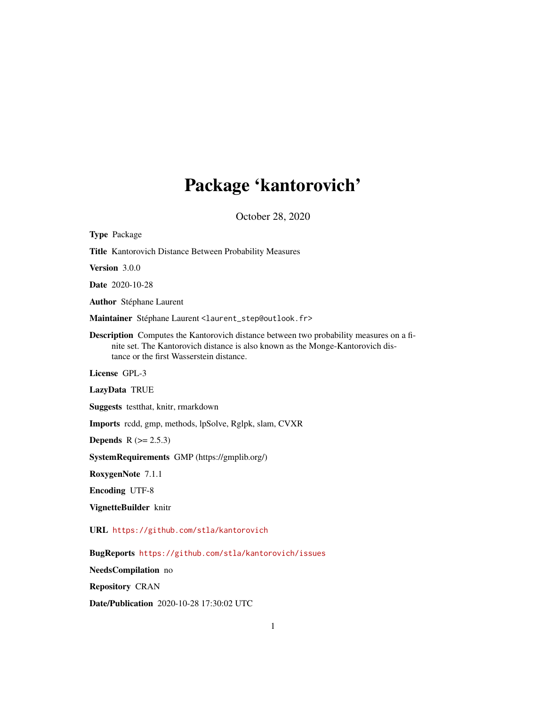# Package 'kantorovich'

October 28, 2020

<span id="page-0-0"></span>

| <b>Type Package</b>                                                                                                                                                                                                          |
|------------------------------------------------------------------------------------------------------------------------------------------------------------------------------------------------------------------------------|
| Title Kantorovich Distance Between Probability Measures                                                                                                                                                                      |
| Version 3.0.0                                                                                                                                                                                                                |
| Date 2020-10-28                                                                                                                                                                                                              |
| <b>Author</b> Stéphane Laurent                                                                                                                                                                                               |
| Maintainer Stéphane Laurent <laurent_step@outlook.fr></laurent_step@outlook.fr>                                                                                                                                              |
| <b>Description</b> Computes the Kantorovich distance between two probability measures on a fi-<br>nite set. The Kantorovich distance is also known as the Monge-Kantorovich dis-<br>tance or the first Wasserstein distance. |
| License GPL-3                                                                                                                                                                                                                |
| LazyData TRUE                                                                                                                                                                                                                |
| Suggests testthat, knitr, rmarkdown                                                                                                                                                                                          |
| <b>Imports</b> redd, gmp, methods, lpSolve, Rglpk, slam, CVXR                                                                                                                                                                |
| <b>Depends</b> $R (= 2.5.3)$                                                                                                                                                                                                 |
| SystemRequirements GMP (https://gmplib.org/)                                                                                                                                                                                 |
| RoxygenNote 7.1.1                                                                                                                                                                                                            |
| <b>Encoding UTF-8</b>                                                                                                                                                                                                        |
| VignetteBuilder knitr                                                                                                                                                                                                        |
| URL https://github.com/stla/kantorovich                                                                                                                                                                                      |
| BugReports https://github.com/stla/kantorovich/issues                                                                                                                                                                        |
| NeedsCompilation no                                                                                                                                                                                                          |
| <b>Repository CRAN</b>                                                                                                                                                                                                       |
| Date/Publication 2020-10-28 17:30:02 UTC                                                                                                                                                                                     |

1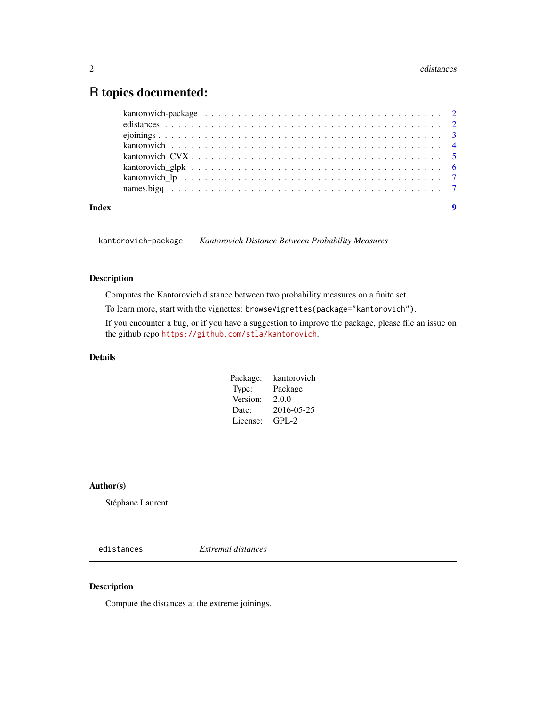# <span id="page-1-0"></span>R topics documented:

| Index | 9 |
|-------|---|

kantorovich-package *Kantorovich Distance Between Probability Measures*

#### Description

Computes the Kantorovich distance between two probability measures on a finite set.

To learn more, start with the vignettes: browseVignettes(package="kantorovich").

If you encounter a bug, or if you have a suggestion to improve the package, please file an issue on the github repo <https://github.com/stla/kantorovich>.

# Details

| Package: | kantorovich |
|----------|-------------|
| Type:    | Package     |
| Version: | 2.0.0       |
| Date:    | 2016-05-25  |
| License: | GPL-2       |

#### Author(s)

Stéphane Laurent

edistances *Extremal distances*

# Description

Compute the distances at the extreme joinings.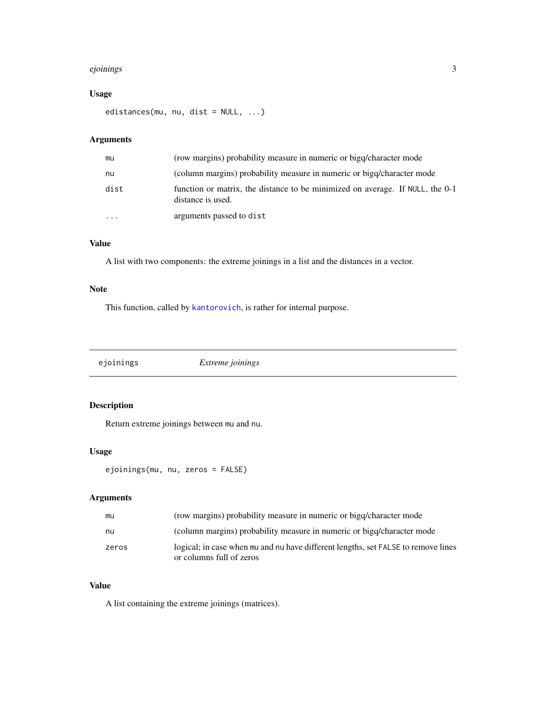#### <span id="page-2-0"></span>ejoinings 3

# Usage

edistances(mu, nu, dist = NULL, ...)

# Arguments

| mu        | (row margins) probability measure in numeric or bigg/character mode                                |
|-----------|----------------------------------------------------------------------------------------------------|
| nu        | (column margins) probability measure in numeric or bigq/character mode                             |
| dist      | function or matrix, the distance to be minimized on average. If NULL, the 0-1<br>distance is used. |
| $\ddotsc$ | arguments passed to dist                                                                           |

# Value

A list with two components: the extreme joinings in a list and the distances in a vector.

# Note

This function, called by [kantorovich](#page-3-1), is rather for internal purpose.

ejoinings *Extreme joinings*

# Description

Return extreme joinings between mu and nu.

#### Usage

ejoinings(mu, nu, zeros = FALSE)

# Arguments

| mu    | (row margins) probability measure in numeric or bigg/character mode                                           |
|-------|---------------------------------------------------------------------------------------------------------------|
| nu    | (column margins) probability measure in numeric or bigg/character mode                                        |
| zeros | logical; in case when mu and nu have different lengths, set FALSE to remove lines<br>or columns full of zeros |

#### Value

A list containing the extreme joinings (matrices).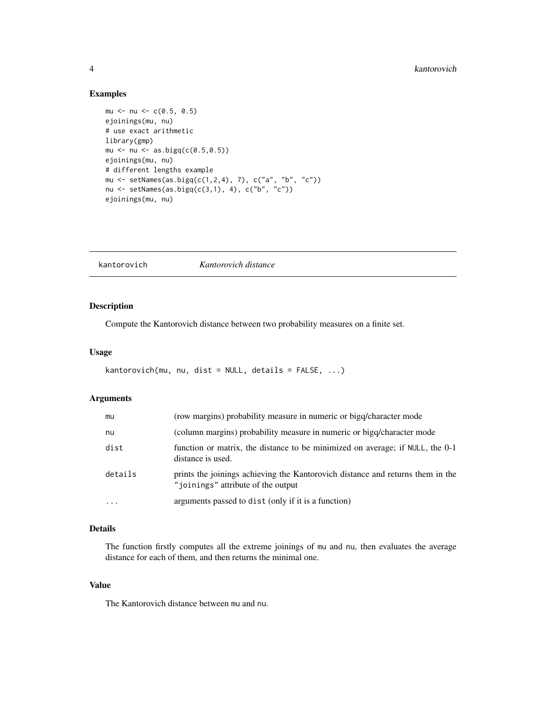#### <span id="page-3-0"></span>Examples

```
mu <- nu <- c(0.5, 0.5)
ejoinings(mu, nu)
# use exact arithmetic
library(gmp)
mu <- nu <- as.bigq(c(0.5,0.5))
ejoinings(mu, nu)
# different lengths example
mu <- setNames(as.bigq(c(1,2,4), 7), c("a", "b", "c"))
nu <- setNames(as.bigq(c(3,1), 4), c("b", "c"))
ejoinings(mu, nu)
```
<span id="page-3-1"></span>kantorovich *Kantorovich distance*

#### Description

Compute the Kantorovich distance between two probability measures on a finite set.

#### Usage

```
kantorovich(mu, nu, dist = NULL, details = FALSE, ...)
```
#### Arguments

| mu        | (row margins) probability measure in numeric or bigq/character mode                                                           |
|-----------|-------------------------------------------------------------------------------------------------------------------------------|
| nu        | (column margins) probability measure in numeric or bigq/character mode                                                        |
| dist      | function or matrix, the distance to be minimized on average; if NULL, the 0-1<br>distance is used.                            |
| details   | prints the joinings achieving the Kantorovich distance and returns them in the<br>" <i>ioinings</i> " attribute of the output |
| $\ddotsc$ | arguments passed to dist (only if it is a function)                                                                           |

#### Details

The function firstly computes all the extreme joinings of mu and nu, then evaluates the average distance for each of them, and then returns the minimal one.

#### Value

The Kantorovich distance between mu and nu.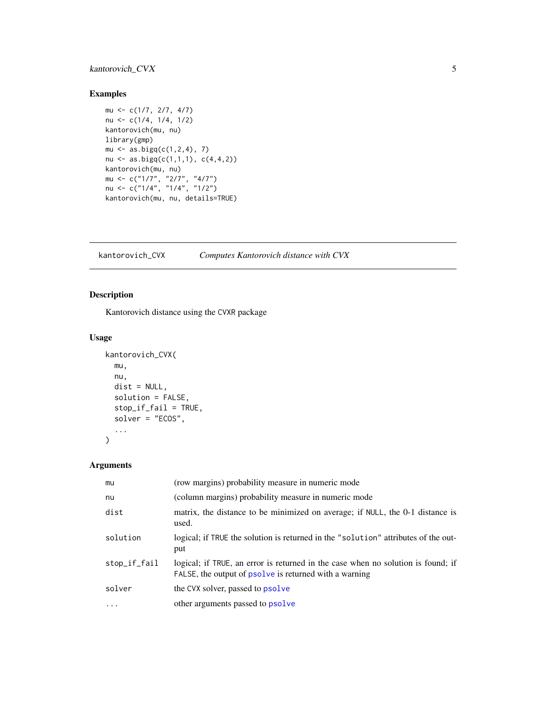# <span id="page-4-0"></span>kantorovich\_CVX 5

#### Examples

```
mu <- c(1/7, 2/7, 4/7)
nu <- c(1/4, 1/4, 1/2)
kantorovich(mu, nu)
library(gmp)
mu \leftarrow as.bigq(c(1,2,4), 7)nu <- as.bigq(c(1,1,1), c(4,4,2))
kantorovich(mu, nu)
mu <- c("1/7", "2/7", "4/7")
nu <- c("1/4", "1/4", "1/2")
kantorovich(mu, nu, details=TRUE)
```
kantorovich\_CVX *Computes Kantorovich distance with CVX*

# Description

Kantorovich distance using the CVXR package

# Usage

```
kantorovich_CVX(
  mu,
  nu,
  dist = NULL,solution = FALSE,
  stop_if_fail = TRUE,
  solver = "ECOS",
  ...
\mathcal{L}
```
# Arguments

| mu           | (row margins) probability measure in numeric mode                                                                                          |
|--------------|--------------------------------------------------------------------------------------------------------------------------------------------|
| nu           | (column margins) probability measure in numeric mode                                                                                       |
| dist         | matrix, the distance to be minimized on average; if NULL, the 0-1 distance is<br>used.                                                     |
| solution     | logical; if TRUE the solution is returned in the "solution" attributes of the out-<br>put                                                  |
| stop_if_fail | logical; if TRUE, an error is returned in the case when no solution is found; if<br>FALSE, the output of psolve is returned with a warning |
| solver       | the CVX solver, passed to psolve                                                                                                           |
| $\ddots$ .   | other arguments passed to <b>psolve</b>                                                                                                    |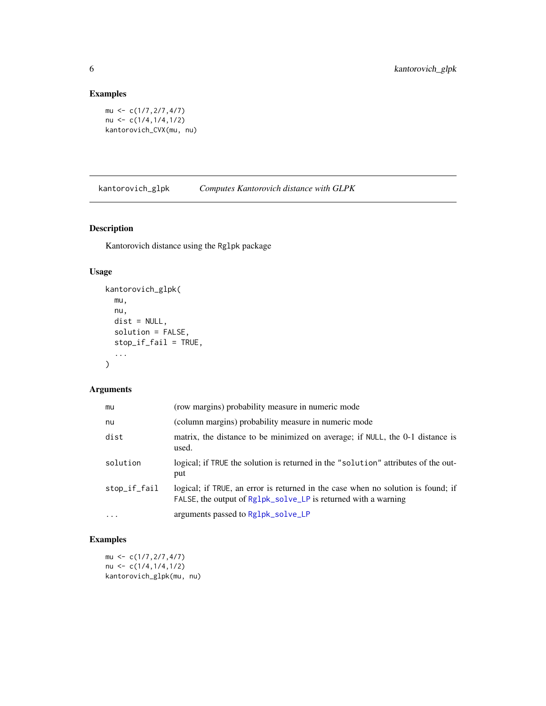# Examples

```
mu <- c(1/7,2/7,4/7)
nu <- c(1/4,1/4,1/2)
kantorovich_CVX(mu, nu)
```
kantorovich\_glpk *Computes Kantorovich distance with GLPK*

# Description

Kantorovich distance using the Rglpk package

# Usage

```
kantorovich_glpk(
 mu,
 nu,
 dist = NULL,solution = FALSE,
 stop_if_fail = TRUE,
  ...
)
```
# Arguments

| mu           | (row margins) probability measure in numeric mode                                                                                                  |
|--------------|----------------------------------------------------------------------------------------------------------------------------------------------------|
| nu           | (column margins) probability measure in numeric mode                                                                                               |
| dist         | matrix, the distance to be minimized on average; if NULL, the 0-1 distance is<br>used.                                                             |
| solution     | logical; if TRUE the solution is returned in the "solution" attributes of the out-<br>put                                                          |
| stop_if_fail | logical; if TRUE, an error is returned in the case when no solution is found; if<br>FALSE, the output of Rg1pk_solve_LP is returned with a warning |
| $\cdots$     | arguments passed to Rg1pk_so1ve_LP                                                                                                                 |

# Examples

 $mu \leftarrow c(1/7, 2/7, 4/7)$ nu  $\leftarrow c(1/4, 1/4, 1/2)$ kantorovich\_glpk(mu, nu)

<span id="page-5-0"></span>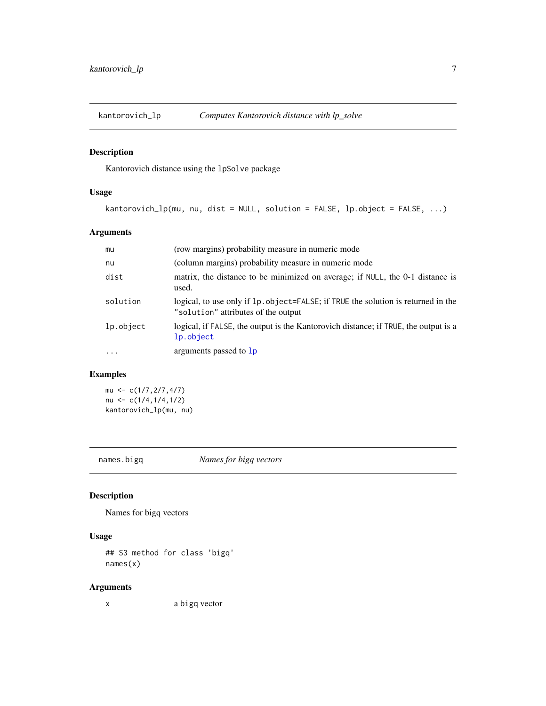<span id="page-6-0"></span>

# Description

Kantorovich distance using the lpSolve package

# Usage

kantorovich\_lp(mu, nu, dist = NULL, solution = FALSE, lp.object = FALSE, ...)

# Arguments

| mu         | (row margins) probability measure in numeric mode                                                                        |
|------------|--------------------------------------------------------------------------------------------------------------------------|
| nu         | (column margins) probability measure in numeric mode                                                                     |
| dist       | matrix, the distance to be minimized on average; if NULL, the 0-1 distance is<br>used.                                   |
| solution   | logical, to use only if 1p. object=FALSE; if TRUE the solution is returned in the<br>"solution" attributes of the output |
| lp.object  | logical, if FALSE, the output is the Kantorovich distance; if TRUE, the output is a<br>lp.object                         |
| $\ddots$ . | arguments passed to 1p                                                                                                   |

# Examples

mu <- c(1/7,2/7,4/7) nu <- c(1/4,1/4,1/2) kantorovich\_lp(mu, nu)

names.bigq *Names for bigq vectors*

# Description

Names for bigq vectors

#### Usage

## S3 method for class 'bigq' names(x)

# Arguments

x a bigq vector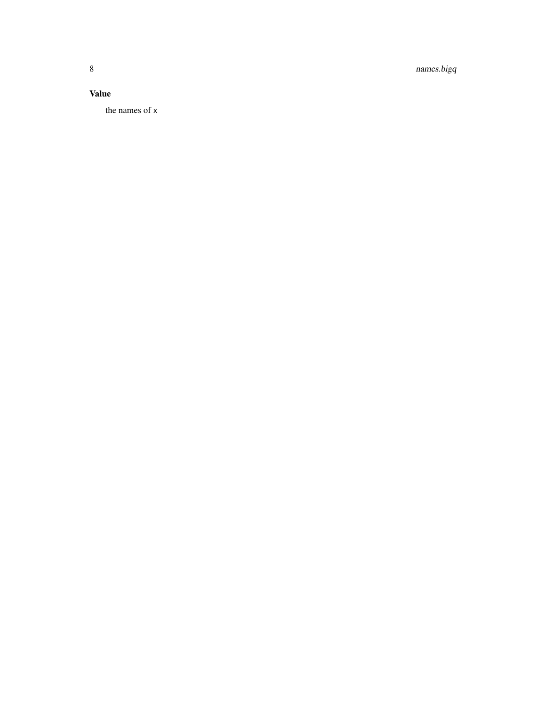8 names.bigq

# Value

the names of x